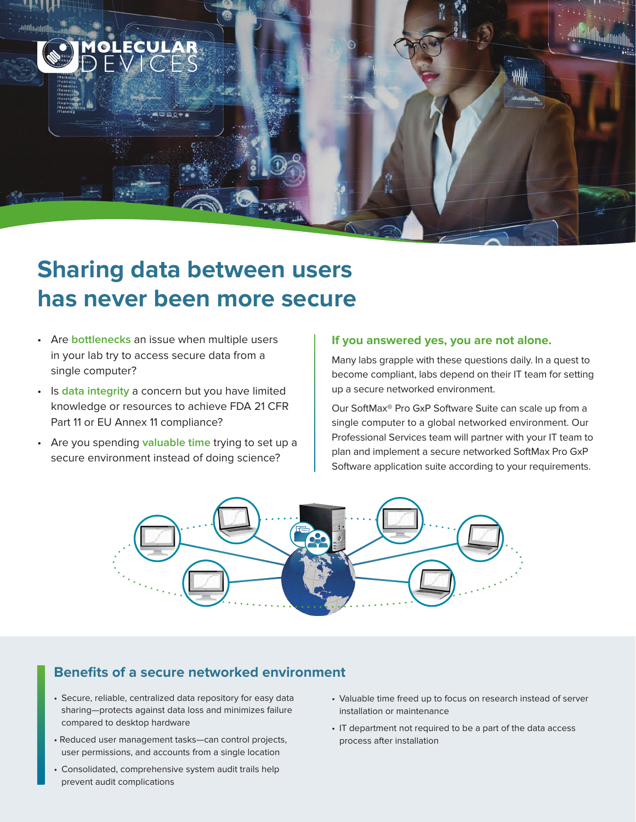

- Are **bottlenecks** an issue when multiple users in your lab try to access secure data from a single computer?
- Is **data integrity** a concern but you have limited knowledge or resources to achieve FDA 21 CFR Part 11 or EU Annex 11 compliance?
- Are you spending **valuable time** trying to set up a secure environment instead of doing science?

## **If you answered yes, you are not alone.**

Many labs grapple with these questions daily. In a quest to become compliant, labs depend on their IT team for setting up a secure networked environment.

Our SoftMax® Pro GxP Software Suite can scale up from a single computer to a global networked environment. Our Professional Services team will partner with your IT team to plan and implement a secure networked SoftMax Pro GxP Software application suite according to your requirements.



## **Benefits of a secure networked environment**

- Secure, reliable, centralized data repository for easy data sharing—protects against data loss and minimizes failure compared to desktop hardware
- Reduced user management tasks—can control projects, user permissions, and accounts from a single location
- Consolidated, comprehensive system audit trails help prevent audit complications
- Valuable time freed up to focus on research instead of server installation or maintenance
- IT department not required to be a part of the data access process after installation